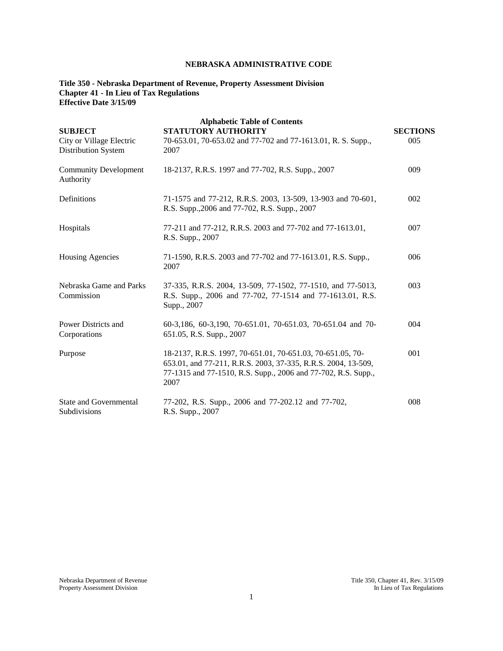# **NEBRASKA ADMINISTRATIVE CODE**

### **Title 350 - Nebraska Department of Revenue, Property Assessment Division Chapter 41 - In Lieu of Tax Regulations Effective Date 3/15/09**

| <b>SUBJECT</b>                                         | <b>Alphabetic Table of Contents</b><br><b>STATUTORY AUTHORITY</b>                                                                                                                                    | <b>SECTIONS</b> |
|--------------------------------------------------------|------------------------------------------------------------------------------------------------------------------------------------------------------------------------------------------------------|-----------------|
| City or Village Electric<br><b>Distribution System</b> | 70-653.01, 70-653.02 and 77-702 and 77-1613.01, R. S. Supp.,<br>2007                                                                                                                                 | 005             |
| <b>Community Development</b><br>Authority              | 18-2137, R.R.S. 1997 and 77-702, R.S. Supp., 2007                                                                                                                                                    | 009             |
| Definitions                                            | 71-1575 and 77-212, R.R.S. 2003, 13-509, 13-903 and 70-601,<br>R.S. Supp., 2006 and 77-702, R.S. Supp., 2007                                                                                         | 002             |
| Hospitals                                              | 77-211 and 77-212, R.R.S. 2003 and 77-702 and 77-1613.01,<br>R.S. Supp., 2007                                                                                                                        | 007             |
| <b>Housing Agencies</b>                                | 71-1590, R.R.S. 2003 and 77-702 and 77-1613.01, R.S. Supp.,<br>2007                                                                                                                                  | 006             |
| Nebraska Game and Parks<br>Commission                  | 37-335, R.R.S. 2004, 13-509, 77-1502, 77-1510, and 77-5013,<br>R.S. Supp., 2006 and 77-702, 77-1514 and 77-1613.01, R.S.<br>Supp., 2007                                                              | 003             |
| Power Districts and<br>Corporations                    | 60-3,186, 60-3,190, 70-651.01, 70-651.03, 70-651.04 and 70-<br>651.05, R.S. Supp., 2007                                                                                                              | 004             |
| Purpose                                                | 18-2137, R.R.S. 1997, 70-651.01, 70-651.03, 70-651.05, 70-<br>653.01, and 77-211, R.R.S. 2003, 37-335, R.R.S. 2004, 13-509,<br>77-1315 and 77-1510, R.S. Supp., 2006 and 77-702, R.S. Supp.,<br>2007 | 001             |
| <b>State and Governmental</b><br>Subdivisions          | 77-202, R.S. Supp., 2006 and 77-202.12 and 77-702,<br>R.S. Supp., 2007                                                                                                                               | 008             |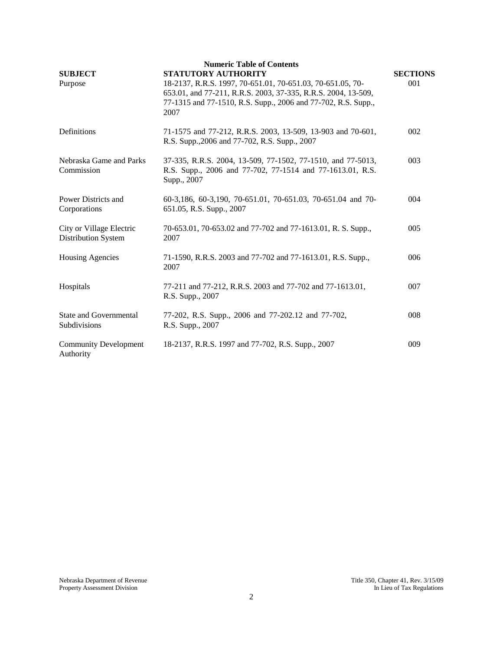| <b>SUBJECT</b><br>Purpose                       | <b>Numeric Table of Contents</b><br><b>STATUTORY AUTHORITY</b><br>18-2137, R.R.S. 1997, 70-651.01, 70-651.03, 70-651.05, 70-<br>653.01, and 77-211, R.R.S. 2003, 37-335, R.R.S. 2004, 13-509,<br>77-1315 and 77-1510, R.S. Supp., 2006 and 77-702, R.S. Supp.,<br>2007 | <b>SECTIONS</b><br>001 |
|-------------------------------------------------|------------------------------------------------------------------------------------------------------------------------------------------------------------------------------------------------------------------------------------------------------------------------|------------------------|
| Definitions                                     | 71-1575 and 77-212, R.R.S. 2003, 13-509, 13-903 and 70-601,<br>R.S. Supp., 2006 and 77-702, R.S. Supp., 2007                                                                                                                                                           | 002                    |
| Nebraska Game and Parks<br>Commission           | 37-335, R.R.S. 2004, 13-509, 77-1502, 77-1510, and 77-5013,<br>R.S. Supp., 2006 and 77-702, 77-1514 and 77-1613.01, R.S.<br>Supp., 2007                                                                                                                                | 003                    |
| Power Districts and<br>Corporations             | 60-3,186, 60-3,190, 70-651.01, 70-651.03, 70-651.04 and 70-<br>651.05, R.S. Supp., 2007                                                                                                                                                                                | 004                    |
| City or Village Electric<br>Distribution System | 70-653.01, 70-653.02 and 77-702 and 77-1613.01, R. S. Supp.,<br>2007                                                                                                                                                                                                   | 005                    |
| <b>Housing Agencies</b>                         | 71-1590, R.R.S. 2003 and 77-702 and 77-1613.01, R.S. Supp.,<br>2007                                                                                                                                                                                                    | 006                    |
| Hospitals                                       | 77-211 and 77-212, R.R.S. 2003 and 77-702 and 77-1613.01,<br>R.S. Supp., 2007                                                                                                                                                                                          | 007                    |
| <b>State and Governmental</b><br>Subdivisions   | 77-202, R.S. Supp., 2006 and 77-202.12 and 77-702,<br>R.S. Supp., 2007                                                                                                                                                                                                 | 008                    |
| <b>Community Development</b><br>Authority       | 18-2137, R.R.S. 1997 and 77-702, R.S. Supp., 2007                                                                                                                                                                                                                      | 009                    |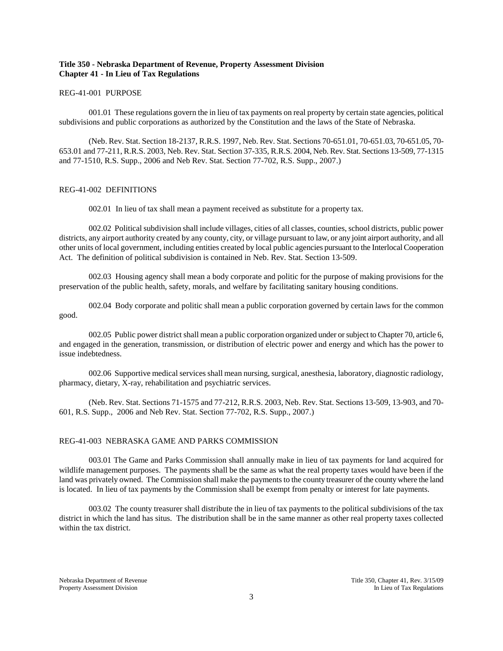### **Title 350 - Nebraska Department of Revenue, Property Assessment Division Chapter 41 - In Lieu of Tax Regulations**

#### REG-41-001 PURPOSE

001.01 These regulations govern the in lieu of tax payments on real property by certain state agencies, political subdivisions and public corporations as authorized by the Constitution and the laws of the State of Nebraska.

(Neb. Rev. Stat. Section 18-2137, R.R.S. 1997, Neb. Rev. Stat. Sections 70-651.01, 70-651.03, 70-651.05, 70- 653.01 and 77-211, R.R.S. 2003, Neb. Rev. Stat. Section 37-335, R.R.S. 2004, Neb. Rev. Stat. Sections 13-509, 77-1315 and 77-1510, R.S. Supp., 2006 and Neb Rev. Stat. Section 77-702, R.S. Supp., 2007.)

## REG-41-002 DEFINITIONS

002.01 In lieu of tax shall mean a payment received as substitute for a property tax.

002.02 Political subdivision shall include villages, cities of all classes, counties, school districts, public power districts, any airport authority created by any county, city, or village pursuant to law, or any joint airport authority, and all other units of local government, including entities created by local public agencies pursuant to the Interlocal Cooperation Act. The definition of political subdivision is contained in Neb. Rev. Stat. Section 13-509.

002.03 Housing agency shall mean a body corporate and politic for the purpose of making provisions for the preservation of the public health, safety, morals, and welfare by facilitating sanitary housing conditions.

002.04 Body corporate and politic shall mean a public corporation governed by certain laws for the common good.

002.05 Public power district shall mean a public corporation organized under or subject to Chapter 70, article 6, and engaged in the generation, transmission, or distribution of electric power and energy and which has the power to issue indebtedness.

002.06 Supportive medical services shall mean nursing, surgical, anesthesia, laboratory, diagnostic radiology, pharmacy, dietary, X-ray, rehabilitation and psychiatric services.

(Neb. Rev. Stat. Sections 71-1575 and 77-212, R.R.S. 2003, Neb. Rev. Stat. Sections 13-509, 13-903, and 70- 601, R.S. Supp., 2006 and Neb Rev. Stat. Section 77-702, R.S. Supp., 2007.)

### REG-41-003 NEBRASKA GAME AND PARKS COMMISSION

003.01 The Game and Parks Commission shall annually make in lieu of tax payments for land acquired for wildlife management purposes. The payments shall be the same as what the real property taxes would have been if the land was privately owned. The Commission shall make the payments to the county treasurer of the county where the land is located. In lieu of tax payments by the Commission shall be exempt from penalty or interest for late payments.

003.02 The county treasurer shall distribute the in lieu of tax payments to the political subdivisions of the tax district in which the land has situs. The distribution shall be in the same manner as other real property taxes collected within the tax district.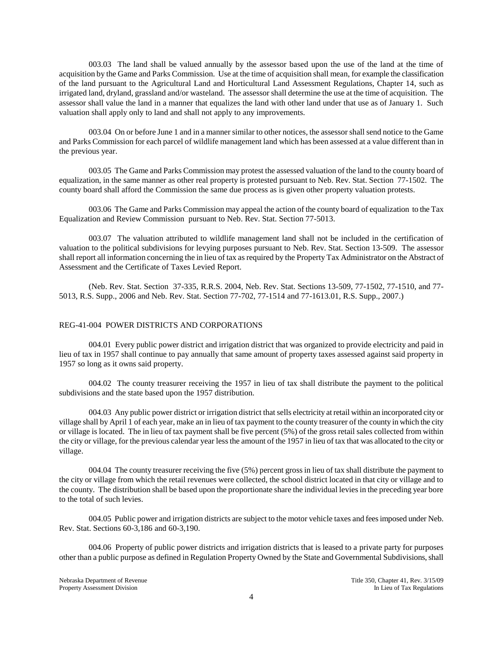003.03 The land shall be valued annually by the assessor based upon the use of the land at the time of acquisition by the Game and Parks Commission. Use at the time of acquisition shall mean, for example the classification of the land pursuant to the Agricultural Land and Horticultural Land Assessment Regulations, Chapter 14, such as irrigated land, dryland, grassland and/or wasteland. The assessor shall determine the use at the time of acquisition. The assessor shall value the land in a manner that equalizes the land with other land under that use as of January 1. Such valuation shall apply only to land and shall not apply to any improvements.

003.04 On or before June 1 and in a manner similar to other notices, the assessor shall send notice to the Game and Parks Commission for each parcel of wildlife management land which has been assessed at a value different than in the previous year.

003.05 The Game and Parks Commission may protest the assessed valuation of the land to the county board of equalization, in the same manner as other real property is protested pursuant to Neb. Rev. Stat. Section 77-1502. The county board shall afford the Commission the same due process as is given other property valuation protests.

003.06 The Game and Parks Commission may appeal the action of the county board of equalization to the Tax Equalization and Review Commission pursuant to Neb. Rev. Stat. Section 77-5013.

003.07 The valuation attributed to wildlife management land shall not be included in the certification of valuation to the political subdivisions for levying purposes pursuant to Neb. Rev. Stat. Section 13-509. The assessor shall report all information concerning the in lieu of tax as required by the Property Tax Administrator on the Abstract of Assessment and the Certificate of Taxes Levied Report.

(Neb. Rev. Stat. Section 37-335, R.R.S. 2004, Neb. Rev. Stat. Sections 13-509, 77-1502, 77-1510, and 77- 5013, R.S. Supp., 2006 and Neb. Rev. Stat. Section 77-702, 77-1514 and 77-1613.01, R.S. Supp., 2007.)

### REG-41-004 POWER DISTRICTS AND CORPORATIONS

004.01 Every public power district and irrigation district that was organized to provide electricity and paid in lieu of tax in 1957 shall continue to pay annually that same amount of property taxes assessed against said property in 1957 so long as it owns said property.

004.02 The county treasurer receiving the 1957 in lieu of tax shall distribute the payment to the political subdivisions and the state based upon the 1957 distribution.

004.03 Any public power district or irrigation district that sells electricity at retail within an incorporated city or village shall by April 1 of each year, make an in lieu of tax payment to the county treasurer of the county in which the city or village is located. The in lieu of tax payment shall be five percent (5%) of the gross retail sales collected from within the city or village, for the previous calendar year less the amount of the 1957 in lieu of tax that was allocated to the city or village.

004.04 The county treasurer receiving the five (5%) percent gross in lieu of tax shall distribute the payment to the city or village from which the retail revenues were collected, the school district located in that city or village and to the county. The distribution shall be based upon the proportionate share the individual levies in the preceding year bore to the total of such levies.

004.05 Public power and irrigation districts are subject to the motor vehicle taxes and fees imposed under Neb. Rev. Stat. Sections 60-3,186 and 60-3,190.

004.06 Property of public power districts and irrigation districts that is leased to a private party for purposes other than a public purpose as defined in Regulation Property Owned by the State and Governmental Subdivisions, shall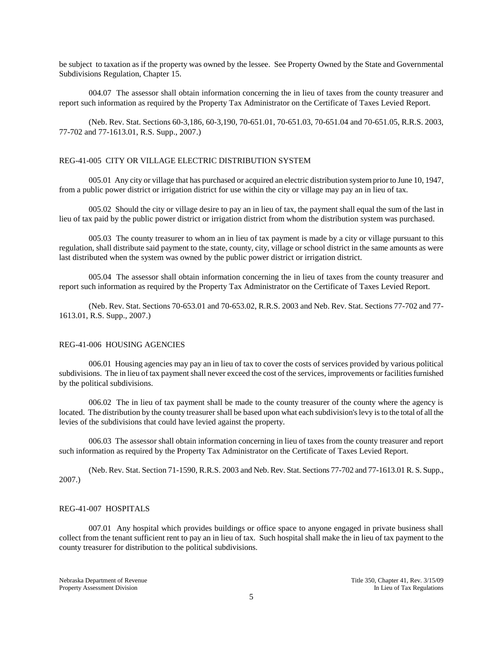be subject to taxation as if the property was owned by the lessee. See Property Owned by the State and Governmental Subdivisions Regulation, Chapter 15.

004.07 The assessor shall obtain information concerning the in lieu of taxes from the county treasurer and report such information as required by the Property Tax Administrator on the Certificate of Taxes Levied Report.

(Neb. Rev. Stat. Sections 60-3,186, 60-3,190, 70-651.01, 70-651.03, 70-651.04 and 70-651.05, R.R.S. 2003, 77-702 and 77-1613.01, R.S. Supp., 2007.)

#### REG-41-005 CITY OR VILLAGE ELECTRIC DISTRIBUTION SYSTEM

005.01 Any city or village that has purchased or acquired an electric distribution system prior to June 10, 1947, from a public power district or irrigation district for use within the city or village may pay an in lieu of tax.

005.02 Should the city or village desire to pay an in lieu of tax, the payment shall equal the sum of the last in lieu of tax paid by the public power district or irrigation district from whom the distribution system was purchased.

005.03 The county treasurer to whom an in lieu of tax payment is made by a city or village pursuant to this regulation, shall distribute said payment to the state, county, city, village or school district in the same amounts as were last distributed when the system was owned by the public power district or irrigation district.

005.04 The assessor shall obtain information concerning the in lieu of taxes from the county treasurer and report such information as required by the Property Tax Administrator on the Certificate of Taxes Levied Report.

(Neb. Rev. Stat. Sections 70-653.01 and 70-653.02, R.R.S. 2003 and Neb. Rev. Stat. Sections 77-702 and 77- 1613.01, R.S. Supp., 2007.)

### REG-41-006 HOUSING AGENCIES

006.01 Housing agencies may pay an in lieu of tax to cover the costs of services provided by various political subdivisions. The in lieu of tax payment shall never exceed the cost of the services, improvements or facilities furnished by the political subdivisions.

006.02 The in lieu of tax payment shall be made to the county treasurer of the county where the agency is located. The distribution by the county treasurer shall be based upon what each subdivision's levy is to the total of all the levies of the subdivisions that could have levied against the property.

006.03 The assessor shall obtain information concerning in lieu of taxes from the county treasurer and report such information as required by the Property Tax Administrator on the Certificate of Taxes Levied Report.

(Neb. Rev. Stat. Section 71-1590, R.R.S. 2003 and Neb. Rev. Stat. Sections 77-702 and 77-1613.01 R. S. Supp., 2007.)

#### REG-41-007 HOSPITALS

007.01 Any hospital which provides buildings or office space to anyone engaged in private business shall collect from the tenant sufficient rent to pay an in lieu of tax. Such hospital shall make the in lieu of tax payment to the county treasurer for distribution to the political subdivisions.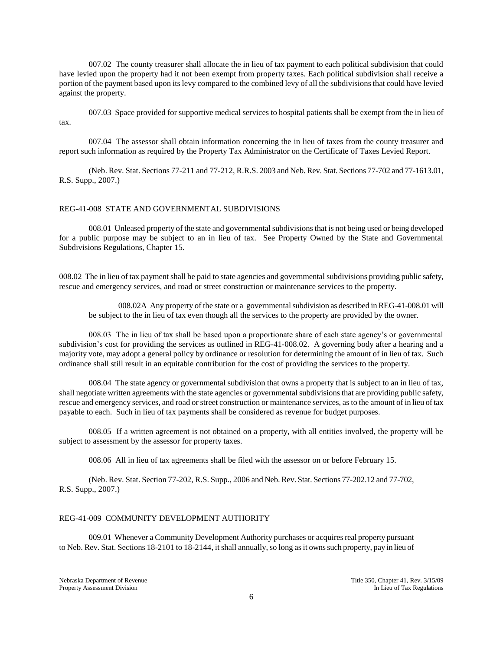007.02 The county treasurer shall allocate the in lieu of tax payment to each political subdivision that could have levied upon the property had it not been exempt from property taxes. Each political subdivision shall receive a portion of the payment based upon its levy compared to the combined levy of all the subdivisions that could have levied against the property.

007.03 Space provided for supportive medical services to hospital patients shall be exempt from the in lieu of tax.

007.04 The assessor shall obtain information concerning the in lieu of taxes from the county treasurer and report such information as required by the Property Tax Administrator on the Certificate of Taxes Levied Report.

(Neb. Rev. Stat. Sections 77-211 and 77-212, R.R.S. 2003 and Neb. Rev. Stat. Sections 77-702 and 77-1613.01, R.S. Supp., 2007.)

#### REG-41-008 STATE AND GOVERNMENTAL SUBDIVISIONS

008.01 Unleased property of the state and governmental subdivisions that is not being used or being developed for a public purpose may be subject to an in lieu of tax. See Property Owned by the State and Governmental Subdivisions Regulations, Chapter 15.

008.02 The in lieu of tax payment shall be paid to state agencies and governmental subdivisions providing public safety, rescue and emergency services, and road or street construction or maintenance services to the property.

008.02A Any property of the state or a governmental subdivision as described in REG-41-008.01 will be subject to the in lieu of tax even though all the services to the property are provided by the owner.

008.03 The in lieu of tax shall be based upon a proportionate share of each state agency's or governmental subdivision's cost for providing the services as outlined in REG-41-008.02. A governing body after a hearing and a majority vote, may adopt a general policy by ordinance or resolution for determining the amount of in lieu of tax. Such ordinance shall still result in an equitable contribution for the cost of providing the services to the property.

008.04 The state agency or governmental subdivision that owns a property that is subject to an in lieu of tax, shall negotiate written agreements with the state agencies or governmental subdivisions that are providing public safety, rescue and emergency services, and road or street construction or maintenance services, as to the amount of in lieu of tax payable to each. Such in lieu of tax payments shall be considered as revenue for budget purposes.

008.05 If a written agreement is not obtained on a property, with all entities involved, the property will be subject to assessment by the assessor for property taxes.

008.06 All in lieu of tax agreements shall be filed with the assessor on or before February 15.

(Neb. Rev. Stat. Section 77-202, R.S. Supp., 2006 and Neb. Rev. Stat. Sections 77-202.12 and 77-702, R.S. Supp., 2007.)

#### REG-41-009 COMMUNITY DEVELOPMENT AUTHORITY

009.01 Whenever a Community Development Authority purchases or acquires real property pursuant to Neb. Rev. Stat. Sections 18-2101 to 18-2144, it shall annually, so long as it owns such property, pay in lieu of